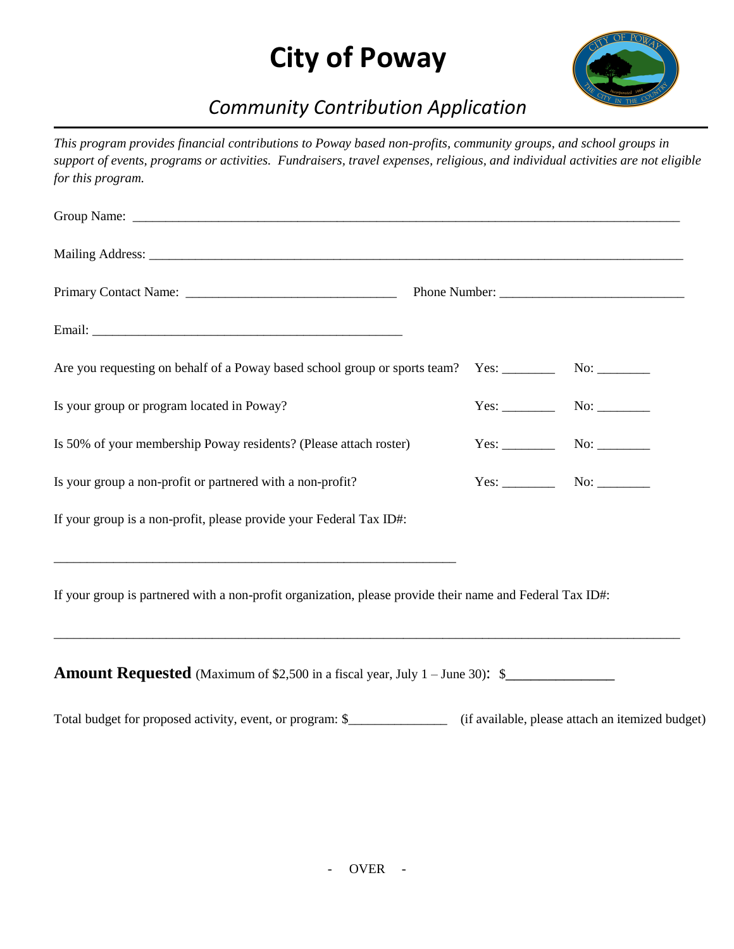## **City of Poway**



## *Community Contribution Application*

*This program provides financial contributions to Poway based non-profits, community groups, and school groups in support of events, programs or activities. Fundraisers, travel expenses, religious, and individual activities are not eligible for this program.* 

| Is your group or program located in Poway?                                                                | $Yes:$ No: $\_\_\_\_\_\_\_\_\_\_\_\_\_\_\_\_\_\_\_\_\_\_\_\_\_\_\_\_$ |
|-----------------------------------------------------------------------------------------------------------|-----------------------------------------------------------------------|
| Is 50% of your membership Poway residents? (Please attach roster)                                         | $Yes:$ No: $\_\_\_\_\_\_\_\_\$                                        |
| Is your group a non-profit or partnered with a non-profit?                                                |                                                                       |
| If your group is a non-profit, please provide your Federal Tax ID#:                                       |                                                                       |
|                                                                                                           |                                                                       |
| If your group is partnered with a non-profit organization, please provide their name and Federal Tax ID#: |                                                                       |
| ,我们就会在这里的时候,我们就会在这里的时候,我们就会在这里的时候,我们就会在这里的时候,我们就会在这里的时候,我们就会在这里的时候,我们就会在这里的时候,我们                          |                                                                       |
| <b>Amount Requested</b> (Maximum of \$2,500 in a fiscal year, July 1 – June 30): \$                       |                                                                       |

Total budget for proposed activity, event, or program: \$\_\_\_\_\_\_\_\_\_\_\_\_\_\_\_ (if available, please attach an itemized budget)